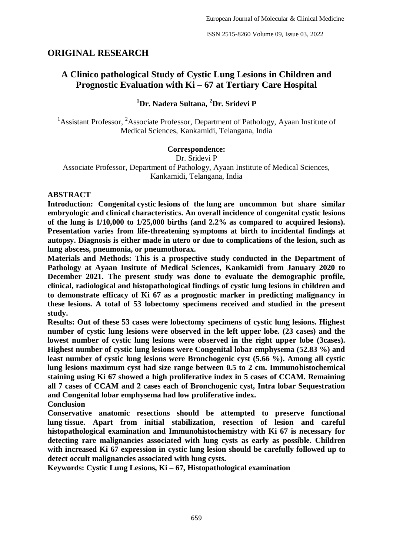# **ORIGINAL RESEARCH**

# **A Clinico pathological Study of Cystic Lung Lesions in Children and Prognostic Evaluation with Ki – 67 at Tertiary Care Hospital**

## **<sup>1</sup>Dr. Nadera Sultana, <sup>2</sup>Dr. Sridevi P**

<sup>1</sup>Assistant Professor, <sup>2</sup>Associate Professor, Department of Pathology, Ayaan Institute of Medical Sciences, Kankamidi, Telangana, India

#### **Correspondence:**

Dr. Sridevi P

Associate Professor, Department of Pathology, Ayaan Institute of Medical Sciences, Kankamidi, Telangana, India

#### **ABSTRACT**

**Introduction: Congenital cystic lesions of the lung are uncommon but share similar embryologic and clinical characteristics. An overall incidence of congenital cystic lesions of the lung is 1/10,000 to 1/25,000 births (and 2.2% as compared to acquired lesions). Presentation varies from life-threatening symptoms at birth to incidental findings at autopsy. Diagnosis is either made in utero or due to complications of the lesion, such as lung abscess, pneumonia, or pneumothorax.** 

**Materials and Methods: This is a prospective study conducted in the Department of Pathology at Ayaan Insitute of Medical Sciences, Kankamidi from January 2020 to December 2021. The present study was done to evaluate the demographic profile, clinical, radiological and histopathological findings of cystic lung lesions in children and to demonstrate efficacy of Ki 67 as a prognostic marker in predicting malignancy in these lesions. A total of 53 lobectomy specimens received and studied in the present study.**

**Results: Out of these 53 cases were lobectomy specimens of cystic lung lesions. Highest number of cystic lung lesions were observed in the left upper lobe. (23 cases) and the lowest number of cystic lung lesions were observed in the right upper lobe (3cases). Highest number of cystic lung lesions were Congenital lobar emphysema (52.83 %) and least number of cystic lung lesions were Bronchogenic cyst (5.66 %). Among all cystic lung lesions maximum cyst had size range between 0.5 to 2 cm. Immunohistochemical staining using Ki 67 showed a high proliferative index in 5 cases of CCAM. Remaining all 7 cases of CCAM and 2 cases each of Bronchogenic cyst, Intra lobar Sequestration and Congenital lobar emphysema had low proliferative index.**

**Conclusion**

**Conservative anatomic resections should be attempted to preserve functional lung tissue. Apart from initial stabilization, resection of lesion and careful histopathological examination and Immunohistochemistry with Ki 67 is necessary for detecting rare malignancies associated with lung cysts as early as possible. Children with increased Ki 67 expression in cystic lung lesion should be carefully followed up to detect occult malignancies associated with lung cysts.**

**Keywords: Cystic Lung Lesions, Ki – 67, Histopathological examination**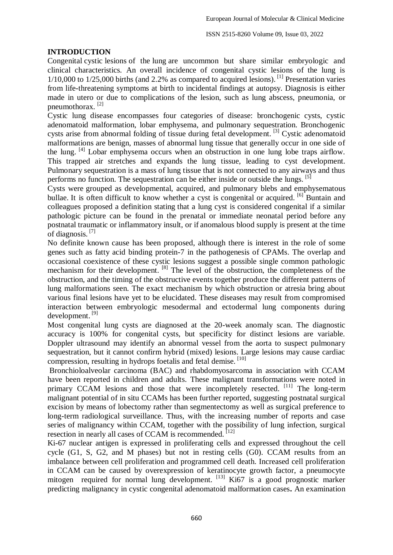#### **INTRODUCTION**

Congenital cystic lesions of the lung are uncommon but share similar embryologic and clinical characteristics. An overall incidence of congenital cystic lesions of the lung is  $1/10,000$  to  $1/25,000$  births (and 2.2% as compared to acquired lesions). <sup>[1]</sup> Presentation varies from life-threatening symptoms at birth to incidental findings at autopsy. Diagnosis is either made in utero or due to complications of the lesion, such as lung abscess, pneumonia, or pneumothorax.<sup>[2]</sup>

Cystic lung disease encompasses four categories of disease: bronchogenic cysts, cystic adenomatoid malformation, lobar emphysema, and pulmonary sequestration. Bronchogenic cysts arise from abnormal folding of tissue during fetal development. [3] Cystic adenomatoid malformations are benign, masses of abnormal lung tissue that generally occur in one side of the lung. [4] Lobar emphysema occurs when an obstruction in one lung lobe traps airflow. This trapped air stretches and expands the lung tissue, leading to cyst development. Pulmonary sequestration is a mass of lung tissue that is not connected to any airways and thus performs no function. The sequestration can be either inside or outside the lungs. [5]

Cysts were grouped as developmental, acquired, and pulmonary blebs and emphysematous bullae. It is often difficult to know whether a cyst is congenital or acquired. <sup>[6]</sup> Buntain and colleagues proposed a definition stating that a lung cyst is considered congenital if a similar pathologic picture can be found in the prenatal or immediate neonatal period before any postnatal traumatic or inflammatory insult, or if anomalous blood supply is present at the time of diagnosis. [7]

No definite known cause has been proposed, although there is interest in the role of some genes such as fatty acid binding protein-7 in the pathogenesis of CPAMs. The overlap and occasional coexistence of these cystic lesions suggest a possible single common pathologic mechanism for their development.  $^{[8]}$  The level of the obstruction, the completeness of the obstruction, and the timing of the obstructive events together produce the different patterns of lung malformations seen. The exact mechanism by which obstruction or atresia bring about various final lesions have yet to be elucidated. These diseases may result from compromised interaction between embryologic mesodermal and ectodermal lung components during development. [9]

Most congenital lung cysts are diagnosed at the 20-week anomaly scan. The diagnostic accuracy is 100% for congenital cysts, but specificity for distinct lesions are variable. Doppler ultrasound may identify an abnormal vessel from the aorta to suspect pulmonary sequestration, but it cannot confirm hybrid (mixed) lesions. Large lesions may cause cardiac compression, resulting in hydrops foetalis and fetal demise. [10]

Bronchioloalveolar carcinoma (BAC) and rhabdomyosarcoma in association with CCAM have been reported in children and adults. These malignant transformations were noted in primary CCAM lesions and those that were incompletely resected. <sup>[11]</sup> The long-term malignant potential of in situ CCAMs has been further reported, suggesting postnatal surgical excision by means of lobectomy rather than segmentectomy as well as surgical preference to long-term radiological surveillance. Thus, with the increasing number of reports and case series of malignancy within CCAM, together with the possibility of lung infection, surgical resection in nearly all cases of CCAM is recommended. [12]

Ki-67 nuclear antigen is expressed in proliferating cells and expressed throughout the cell cycle (G1, S, G2, and M phases) but not in resting cells (G0). CCAM results from an imbalance between cell proliferation and programmed cell death. Increased cell proliferation in CCAM can be caused by overexpression of keratinocyte growth factor, a pneumocyte mitogen required for normal lung development.  $^{[13]}$  Ki67 is a good prognostic marker predicting malignancy in cystic congenital adenomatoid malformation cases**.** An examination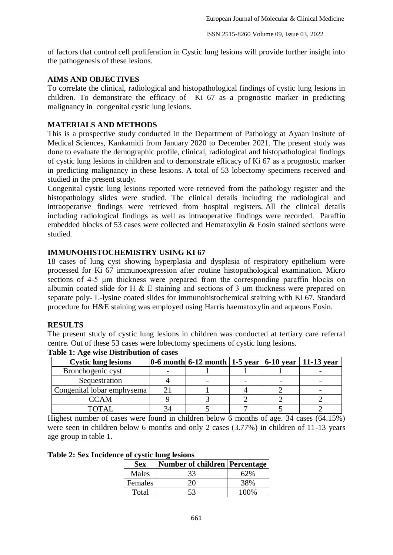of factors that control cell proliferation in Cystic lung lesions will provide further insight into the pathogenesis of these lesions.

#### **AIMS AND OBJECTIVES**

To correlate the clinical, radiological and histopathological findings of cystic lung lesions in children. To demonstrate the efficacy of Ki 67 as a prognostic marker in predicting malignancy in congenital cystic lung lesions.

#### **MATERIALS AND METHODS**

This is a prospective study conducted in the Department of Pathology at Ayaan Insitute of Medical Sciences, Kankamidi from January 2020 to December 2021. The present study was done to evaluate the demographic profile, clinical, radiological and histopathological findings of cystic lung lesions in children and to demonstrate efficacy of Ki 67 as a prognostic marker in predicting malignancy in these lesions. A total of 53 lobectomy specimens received and studied in the present study.

Congenital cystic lung lesions reported were retrieved from the pathology register and the histopathology slides were studied. The clinical details including the radiological and intraoperative findings were retrieved from hospital registers. All the clinical details including radiological findings as well as intraoperative findings were recorded. Paraffin embedded blocks of 53 cases were collected and Hematoxylin & Eosin stained sections were studied.

## **IMMUNOHISTOCHEMISTRY USING KI 67**

18 cases of lung cyst showing hyperplasia and dysplasia of respiratory epithelium were processed for Ki 67 immunoexpression after routine histopathological examination. Micro sections of 4-5 μm thickness were prepared from the corresponding paraffin blocks on albumin coated slide for H  $\&$  E staining and sections of 3  $\mu$ m thickness were prepared on separate poly- L-lysine coated slides for immunohistochemical staining with Ki 67. Standard procedure for H&E staining was employed using Harris haematoxylin and aqueous Eosin.

#### **RESULTS**

The present study of cystic lung lesions in children was conducted at tertiary care referral centre. Out of these 53 cases were lobectomy specimens of cystic lung lesions.

| <b>Cystic lung lesions</b> | $ 0.6 \text{ month} $ 6-12 month   1-5 year   6-10 year   11-13 year |  |  |
|----------------------------|----------------------------------------------------------------------|--|--|
| Bronchogenic cyst          |                                                                      |  |  |
| Sequestration              |                                                                      |  |  |
| Congenital lobar emphysema |                                                                      |  |  |
| CCAM                       |                                                                      |  |  |
|                            |                                                                      |  |  |

**Table 1: Age wise Distribution of cases**

Highest number of cases were found in children below 6 months of age. 34 cases (64.15%) were seen in children below 6 months and only 2 cases  $(3.77%)$  in children of 11-13 years age group in table 1.

**Table 2: Sex Incidence of cystic lung lesions**

| <b>Sex</b> | <b>Number of children Percentage</b> |      |
|------------|--------------------------------------|------|
| Males      | 33                                   |      |
| Females    | 2L)                                  | 38%  |
| Total      | 53                                   | 100% |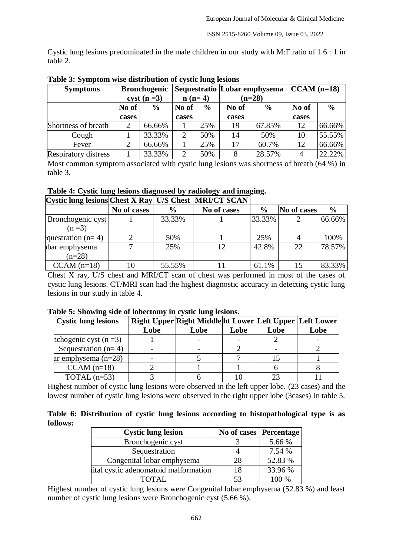Cystic lung lesions predominated in the male children in our study with M:F ratio of 1.6 : 1 in table 2.

| <b>Symptoms</b>             | <b>Bronchogenic</b>  |               |                |               | Sequestratio  Lobar emphysema |               | $CCAM$ (n=18) |               |
|-----------------------------|----------------------|---------------|----------------|---------------|-------------------------------|---------------|---------------|---------------|
|                             | $\text{cyst}$ (n =3) |               | $n(n=4)$       |               | $(n=28)$                      |               |               |               |
|                             | No of                | $\frac{6}{6}$ | No of          | $\frac{0}{0}$ | No of                         | $\frac{0}{0}$ | No of         | $\frac{0}{0}$ |
|                             | cases                |               | cases          |               | cases                         |               | cases         |               |
| Shortness of breath         | 2                    | 66.66%        |                | 25%           | 19                            | 67.85%        | 12            | 66.66%        |
| Cough                       |                      | 33.33%        | $\overline{2}$ | 50%           | 14                            | 50%           | 10            | 55.55%        |
| Fever                       | $\overline{2}$       | 66.66%        |                | 25%           | 17                            | 60.7%         | 12            | 66.66%        |
| <b>Respiratory distress</b> |                      | 33.33%        | 2              | 50%           | 8                             | 28.57%        |               | 22.22%        |

**Table 3: Symptom wise distribution of cystic lung lesions**

Most common symptom associated with cystic lung lesions was shortness of breath  $(64\%)$  in table 3.

| Cystic lung lesions Chest X Ray U/S Chest   MRI/CT SCAN |             |               |             |               |             |               |
|---------------------------------------------------------|-------------|---------------|-------------|---------------|-------------|---------------|
|                                                         | No of cases | $\frac{0}{0}$ | No of cases | $\frac{0}{0}$ | No of cases | $\frac{0}{0}$ |
| Bronchogenic cyst                                       |             | 33.33%        |             | 33.33%        |             | 66.66%        |
| $(n=3)$                                                 |             |               |             |               |             |               |
| questration $(n=4)$                                     |             | 50%           |             | 25%           |             | 100%          |
| bar emphysema                                           | ⇁           | 25%           | 12          | 42.8%         | 22          | 78.57%        |
| $(n=28)$                                                |             |               |             |               |             |               |
| $CCAM$ (n=18)                                           | 10          | 55.55%        |             | 61.1%         |             | 83.33%        |

Chest X ray, U/S chest and MRI/CT scan of chest was performed in most of the cases of cystic lung lesions. CT/MRI scan had the highest diagnostic accuracy in detecting cystic lung lesions in our study in table 4.

|  | Table 5: Showing side of lobectomy in cystic lung lesions. |  |  |  |  |
|--|------------------------------------------------------------|--|--|--|--|
|  |                                                            |  |  |  |  |

| <b>Cystic lung lesions</b> |      | Right Upper Right Middle ht Lower Left Upper Left Lower |      |      |      |
|----------------------------|------|---------------------------------------------------------|------|------|------|
|                            | Lobe | Lobe                                                    | Lobe | Lobe | Lobe |
| nchogenic cyst $(n=3)$     |      |                                                         |      |      |      |
| Sequestration $(n=4)$      |      |                                                         |      |      |      |
| ar emphysema $(n=28)$      |      |                                                         |      |      |      |
| $CCAM$ (n=18)              |      |                                                         |      |      |      |
| TOTAL $(n=53)$             |      |                                                         |      | າະ   |      |

Highest number of cystic lung lesions were observed in the left upper lobe. (23 cases) and the lowest number of cystic lung lesions were observed in the right upper lobe (3cases) in table 5.

|          |  |  |  | Table 6: Distribution of cystic lung lesions according to histopathological type is as |  |  |
|----------|--|--|--|----------------------------------------------------------------------------------------|--|--|
| follows: |  |  |  |                                                                                        |  |  |

| <b>Cystic lung lesion</b>            | No of cases   Percentage |         |
|--------------------------------------|--------------------------|---------|
| Bronchogenic cyst                    |                          | 5.66 %  |
| Sequestration                        |                          | 7.54 %  |
| Congenital lobar emphysema           | 28                       | 52.83 % |
| ital cystic adenomatoid malformation | 18                       | 33.96 % |
|                                      | 53                       | 100 %   |

Highest number of cystic lung lesions were Congenital lobar emphysema (52.83 %) and least number of cystic lung lesions were Bronchogenic cyst (5.66 %).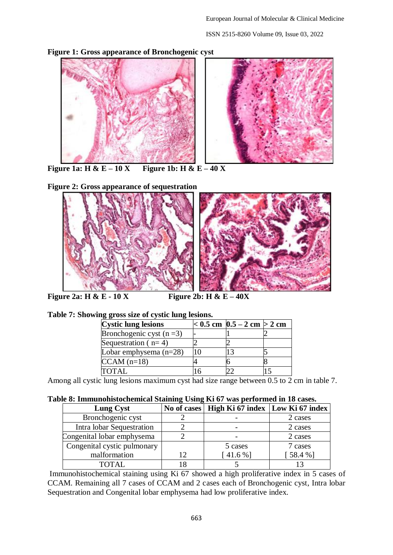ISSN 2515-8260 Volume 09, Issue 03, 2022



**Figure 1: Gross appearance of Bronchogenic cyst**

**Figure** 1a: **H** &  $E - 10X$  **Figure** 1b: **H** &  $E - 40X$ 

**Figure 2: Gross appearance of sequestration**



|  |  | Table 7: Showing gross size of cystic lung lesions. |  |
|--|--|-----------------------------------------------------|--|
|  |  |                                                     |  |
|  |  |                                                     |  |
|  |  |                                                     |  |

| <b>Cystic lung lesions</b> | $< 0.5$ cm $ 0.5 - 2$ cm $> 2$ cm |  |
|----------------------------|-----------------------------------|--|
| Bronchogenic cyst $(n=3)$  |                                   |  |
| Sequestration ( $n=4$ )    |                                   |  |
| Lobar emphysema $(n=28)$   |                                   |  |
| $CCAM (n=18)$              |                                   |  |
| <b>TOTAL</b>               |                                   |  |

Among all cystic lung lesions maximum cyst had size range between 0.5 to 2 cm in table 7.

| Table 8: Immunohistochemical Staining Using Ki 67 was performed in 18 cases. |  |  |  |
|------------------------------------------------------------------------------|--|--|--|
|                                                                              |  |  |  |

| <b>Lung Cyst</b>            |    | No of cases   High Ki 67 index   Low Ki 67 index |         |  |  |  |
|-----------------------------|----|--------------------------------------------------|---------|--|--|--|
| Bronchogenic cyst           |    |                                                  | 2 cases |  |  |  |
| Intra lobar Sequestration   |    |                                                  | 2 cases |  |  |  |
| Congenital lobar emphysema  |    |                                                  | 2 cases |  |  |  |
| Congenital cystic pulmonary |    | 5 cases                                          | 7 cases |  |  |  |
| malformation                | 12 | $1.6\%$ ]                                        | [58.4%] |  |  |  |
| <b>TOTAL</b>                |    |                                                  |         |  |  |  |

Immunohistochemical staining using Ki 67 showed a high proliferative index in 5 cases of CCAM. Remaining all 7 cases of CCAM and 2 cases each of Bronchogenic cyst, Intra lobar Sequestration and Congenital lobar emphysema had low proliferative index.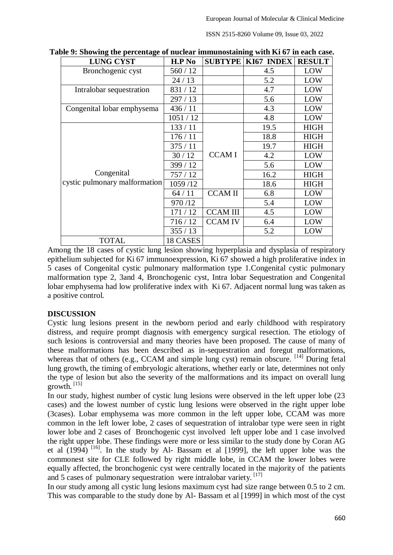ISSN 2515-8260 Volume 09, Issue 03, 2022

| <b>LUNG CYST</b>                            | H.P N <sub>0</sub> |                 | <b>SUBTYPE KI67 INDEX</b> | <b>RESULT</b> |
|---------------------------------------------|--------------------|-----------------|---------------------------|---------------|
| Bronchogenic cyst                           | 560/12             |                 | 4.5                       | LOW           |
|                                             | 24/13              |                 | 5.2                       | LOW           |
| Intralobar sequestration                    | 831/12             |                 | 4.7                       | LOW           |
|                                             | 297/13             |                 | 5.6                       | LOW           |
| Congenital lobar emphysema                  | 436/11             |                 | 4.3                       | LOW           |
|                                             | 1051/12            |                 | 4.8                       | LOW           |
| Congenital<br>cystic pulmonary malformation | 133/11             |                 | 19.5                      | <b>HIGH</b>   |
|                                             | 176/11             |                 | 18.8                      | <b>HIGH</b>   |
|                                             | 375/11             |                 | 19.7                      | <b>HIGH</b>   |
|                                             | 30/12              | <b>CCAMI</b>    | 4.2                       | LOW           |
|                                             | 399/12             |                 | 5.6                       | LOW           |
|                                             | 757/12             |                 | 16.2                      | <b>HIGH</b>   |
|                                             | 1059/12            |                 | 18.6                      | <b>HIGH</b>   |
|                                             | 64/11              | <b>CCAMII</b>   | 6.8                       | LOW           |
|                                             | 970/12             |                 | 5.4                       | LOW           |
|                                             | 171/12             | <b>CCAM III</b> | 4.5                       | LOW           |
|                                             | 716/12             | <b>CCAM IV</b>  | 6.4                       | LOW           |
|                                             | 355/13             |                 | 5.2                       | LOW           |
| <b>TOTAL</b>                                | 18 CASES           |                 |                           |               |

**Table 9: Showing the percentage of nuclear immunostaining with Ki 67 in each case.**

Among the 18 cases of cystic lung lesion showing hyperplasia and dysplasia of respiratory epithelium subjected for Ki 67 immunoexpression, Ki 67 showed a high proliferative index in 5 cases of Congenital cystic pulmonary malformation type 1.Congenital cystic pulmonary malformation type 2, 3and 4, Bronchogenic cyst, Intra lobar Sequestration and Congenital lobar emphysema had low proliferative index with Ki 67. Adjacent normal lung was taken as a positive control.

## **DISCUSSION**

Cystic lung lesions present in the newborn period and early childhood with respiratory distress, and require prompt diagnosis with emergency surgical resection. The etiology of such lesions is controversial and many theories have been proposed. The cause of many of these malformations has been described as in-sequestration and foregut malformations, whereas that of others (e.g., CCAM and simple lung cyst) remain obscure. <sup>[14]</sup> During fetal lung growth, the timing of embryologic alterations, whether early or late, determines not only the type of lesion but also the severity of the malformations and its impact on overall lung  $g$ rowth.  $^{[15]}$ 

In our study, highest number of cystic lung lesions were observed in the left upper lobe (23 cases) and the lowest number of cystic lung lesions were observed in the right upper lobe (3cases). Lobar emphysema was more common in the left upper lobe, CCAM was more common in the left lower lobe, 2 cases of sequestration of intralobar type were seen in right lower lobe and 2 cases of Bronchogenic cyst involved left upper lobe and 1 case involved the right upper lobe. These findings were more or less similar to the study done by Coran AG et al  $(1994)$   $[16]$ . In the study by Al- Bassam et al  $[1999]$ , the left upper lobe was the commonest site for CLE followed by right middle lobe, in CCAM the lower lobes were equally affected, the bronchogenic cyst were centrally located in the majority of the patients and 5 cases of pulmonary sequestration were intralobar variety. [17]

In our study among all cystic lung lesions maximum cyst had size range between 0.5 to 2 cm. This was comparable to the study done by Al- Bassam et al [1999] in which most of the cyst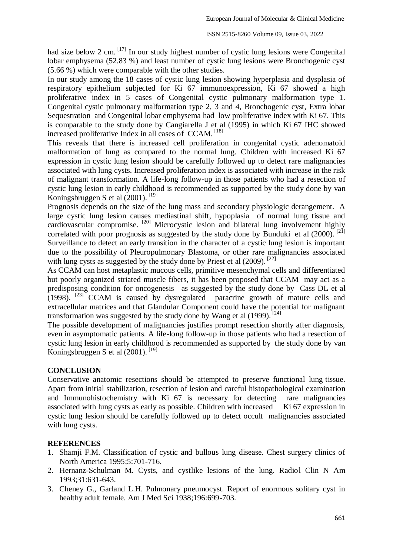had size below 2 cm.  $\left[17\right]$  In our study highest number of cystic lung lesions were Congenital lobar emphysema (52.83 %) and least number of cystic lung lesions were Bronchogenic cyst (5.66 %) which were comparable with the other studies.

In our study among the 18 cases of cystic lung lesion showing hyperplasia and dysplasia of respiratory epithelium subjected for Ki 67 immunoexpression, Ki 67 showed a high proliferative index in 5 cases of Congenital cystic pulmonary malformation type 1. Congenital cystic pulmonary malformation type 2, 3 and 4, Bronchogenic cyst, Extra lobar Sequestration and Congenital lobar emphysema had low proliferative index with Ki 67. This is comparable to the study done by Cangiarella J et al (1995) in which Ki 67 IHC showed increased proliferative Index in all cases of CCAM. [18]

This reveals that there is increased cell proliferation in congenital cystic adenomatoid malformation of lung as compared to the normal lung. Children with increased Ki 67 expression in cystic lung lesion should be carefully followed up to detect rare malignancies associated with lung cysts. Increased proliferation index is associated with increase in the risk of malignant transformation. A life-long follow-up in those patients who had a resection of cystic lung lesion in early childhood is recommended as supported by the study done by van Koningsbruggen S et al  $(2001)$ . [19]

Prognosis depends on the size of the lung mass and secondary physiologic derangement. A large cystic lung lesion causes mediastinal shift, hypoplasia of normal lung tissue and cardiovascular compromise. [20] Microcystic lesion and bilateral lung involvement highly correlated with poor prognosis as suggested by the study done by Bunduki et al  $(2000)$ . <sup>[21]</sup> Surveillance to detect an early transition in the character of a cystic lung lesion is important due to the possibility of Pleuropulmonary Blastoma, or other rare malignancies associated with lung cysts as suggested by the study done by Priest et al  $(2009)$ . <sup>[22]</sup>

As CCAM can host metaplastic mucous cells, primitive mesenchymal cells and differentiated but poorly organized striated muscle fibers, it has been proposed that CCAM may act as a predisposing condition for oncogenesis as suggested by the study done by Cass DL et al  $(1998)$ .  $^{[23]}$  CCAM is caused by dysregulated paracrine growth of mature cells and extracellular matrices and that Glandular Component could have the potential for malignant transformation was suggested by the study done by Wang et al  $(1999)$ .<sup>[24]</sup>

The possible development of malignancies justifies prompt resection shortly after diagnosis, even in asymptomatic patients. A life-long follow-up in those patients who had a resection of cystic lung lesion in early childhood is recommended as supported by the study done by van Koningsbruggen S et al (2001).<sup>[19]</sup>

#### **CONCLUSION**

Conservative anatomic resections should be attempted to preserve functional lung tissue. Apart from initial stabilization, resection of lesion and careful histopathological examination and Immunohistochemistry with Ki 67 is necessary for detecting rare malignancies associated with lung cysts as early as possible. Children with increased Ki 67 expression in cystic lung lesion should be carefully followed up to detect occult malignancies associated with lung cysts.

#### **REFERENCES**

- 1. Shamji F.M. Classification of cystic and bullous lung disease. Chest surgery clinics of North America 1995;5:701-716.
- 2. Hernanz-Schulman M. Cysts, and cystlike lesions of the lung. Radiol Clin N Am 1993;31:631-643.
- 3. Cheney G., Garland L.H. Pulmonary pneumocyst. Report of enormous solitary cyst in healthy adult female. Am J Med Sci 1938;196:699-703.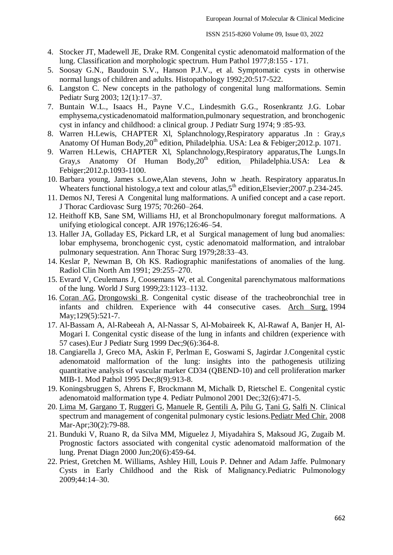- 4. Stocker JT, Madewell JE, Drake RM. Congenital cystic adenomatoid malformation of the lung. Classification and morphologic spectrum. Hum Pathol 1977;8:155 - 171.
- 5. Soosay G.N., Baudouin S.V., Hanson P.J.V., et al. Symptomatic cysts in otherwise normal lungs of children and adults. Histopathology 1992;20:517-522.
- 6. Langston C. New concepts in the pathology of congenital lung malformations. Semin Pediatr Surg 2003; 12(1):17–37.
- 7. Buntain W.L., Isaacs H., Payne V.C., Lindesmith G.G., Rosenkrantz J.G. Lobar emphysema,cysticadenomatoid malformation,pulmonary sequestration, and bronchogenic cyst in infancy and childhood: a clinical group. J Pediatr Surg 1974; 9 :85-93.
- 8. Warren H.Lewis, CHAPTER Xl, Splanchnology,Respiratory apparatus .In : Gray,s Anatomy Of Human Body,  $20^{th}$  edition, Philadelphia. USA: Lea & Febiger; 2012.p. 1071.
- 9. Warren H.Lewis, CHAPTER Xl, Splanchnology,Respiratory apparatus,The Lungs.In Gray,s Anatomy Of Human Body,  $20<sup>th</sup>$  edition, Philadelphia.USA: Lea & Febiger;2012.p.1093-1100.
- 10. Barbara young, James s.Lowe,Alan stevens, John w .heath. Respiratory apparatus.In Wheaters functional histology, a text and colour atlas,  $5<sup>th</sup>$  edition, Elsevier; 2007.p. 234-245.
- 11. Demos NJ, Teresi A Congenital lung malformations. A unified concept and a case report. J Thorac Cardiovasc Surg 1975; 70:260–264.
- 12. Heithoff KB, Sane SM, Williams HJ, et al Bronchopulmonary foregut malformations. A unifying etiological concept. AJR 1976;126:46–54.
- 13. Haller JA, Golladay ES, Pickard LR, et al Surgical management of lung bud anomalies: lobar emphysema, bronchogenic cyst, cystic adenomatoid malformation, and intralobar pulmonary sequestration. Ann Thorac Surg 1979;28:33–43.
- 14. Keslar P, Newman B, Oh KS. Radiographic manifestations of anomalies of the lung. Radiol Clin North Am 1991; 29:255–270.
- 15. Evrard V, Ceulemans J, Coosemans W, et al. Congenital parenchymatous malformations of the lung. World J Surg 1999;23:1123–1132.
- 16. [Coran AG,](http://www.ncbi.nlm.nih.gov/pubmed?term=Coran%20AG%5BAuthor%5D&cauthor=true&cauthor_uid=8185475) [Drongowski R.](http://www.ncbi.nlm.nih.gov/pubmed?term=Drongowski%20R%5BAuthor%5D&cauthor=true&cauthor_uid=8185475) Congenital cystic disease of the tracheobronchial tree in infants and children. Experience with 44 consecutive cases. [Arch Surg.](http://www.ncbi.nlm.nih.gov/pubmed/8185475) 1994 May;129(5):521-7.
- 17. Al-Bassam A, Al-Rabeeah A, Al-Nassar S, Al-Mobaireek K, Al-Rawaf A, Banjer H, Al-Mogari I. Congenital cystic disease of the lung in infants and children (experience with 57 cases).Eur J Pediatr Surg 1999 Dec;9(6):364-8.
- 18. Cangiarella J, Greco MA, Askin F, Perlman E, Goswami S, Jagirdar J.Congenital cystic adenomatoid malformation of the lung: insights into the pathogenesis utilizing quantitative analysis of vascular marker CD34 (QBEND-10) and cell proliferation marker MIB-1. Mod Pathol 1995 Dec;8(9):913-8.
- 19. Koningsbruggen S, Ahrens F, Brockmann M, Michalk D, Rietschel E. Congenital cystic adenomatoid malformation type 4. Pediatr Pulmonol 2001 Dec;32(6):471-5.
- 20. [Lima M,](http://www.ncbi.nlm.nih.gov/pubmed?term=Lima%20M%5BAuthor%5D&cauthor=true&cauthor_uid=18581960) [Gargano T,](http://www.ncbi.nlm.nih.gov/pubmed?term=Gargano%20T%5BAuthor%5D&cauthor=true&cauthor_uid=18581960) [Ruggeri G,](http://www.ncbi.nlm.nih.gov/pubmed?term=Ruggeri%20G%5BAuthor%5D&cauthor=true&cauthor_uid=18581960) [Manuele R,](http://www.ncbi.nlm.nih.gov/pubmed?term=Manuele%20R%5BAuthor%5D&cauthor=true&cauthor_uid=18581960) [Gentili A,](http://www.ncbi.nlm.nih.gov/pubmed?term=Gentili%20A%5BAuthor%5D&cauthor=true&cauthor_uid=18581960) [Pilu G,](http://www.ncbi.nlm.nih.gov/pubmed?term=Pilu%20G%5BAuthor%5D&cauthor=true&cauthor_uid=18581960) [Tani G,](http://www.ncbi.nlm.nih.gov/pubmed?term=Tani%20G%5BAuthor%5D&cauthor=true&cauthor_uid=18581960) [Salfi N.](http://www.ncbi.nlm.nih.gov/pubmed?term=Salfi%20N%5BAuthor%5D&cauthor=true&cauthor_uid=18581960) Clinical spectrum and management of congenital pulmonary cystic lesions[.Pediatr Med Chir.](http://www.ncbi.nlm.nih.gov/pubmed/18581960) 2008 Mar-Apr;30(2):79-88.
- 21. Bunduki V, Ruano R, da Silva MM, Miguelez J, Miyadahira S, Maksoud JG, Zugaib M. Prognostic factors associated with congenital cystic adenomatoid malformation of the lung. Prenat Diagn 2000 Jun;20(6):459-64.
- 22. Priest, Gretchen M. Williams, Ashley Hill, Louis P. Dehner and Adam Jaffe. Pulmonary Cysts in Early Childhood and the Risk of Malignancy.Pediatric Pulmonology 2009;44:14–30.